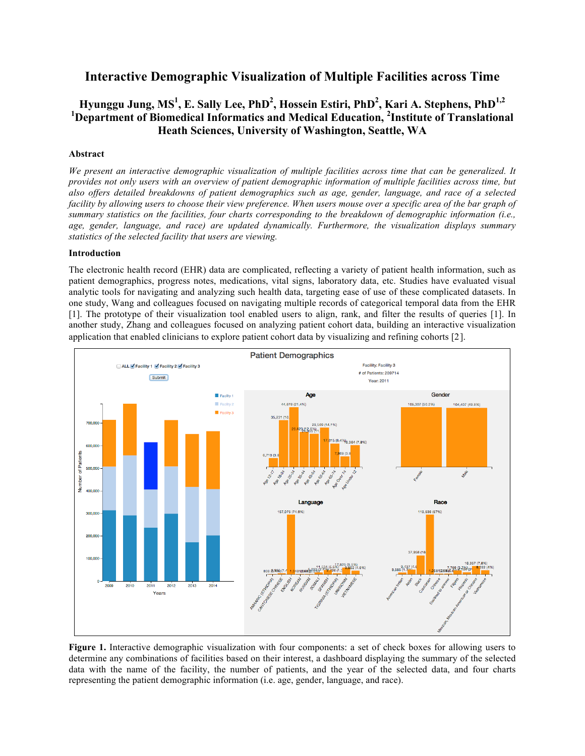# **Interactive Demographic Visualization of Multiple Facilities across Time**

# **Hyunggu Jung, MS<sup>1</sup> , E. Sally Lee, PhD<sup>2</sup> , Hossein Estiri, PhD<sup>2</sup> , Kari A. Stephens, PhD1,2** <sup>1</sup>Department of Biomedical Informatics and Medical Education, <sup>2</sup>Institute of Translational **Heath Sciences, University of Washington, Seattle, WA**

## **Abstract**

*We present an interactive demographic visualization of multiple facilities across time that can be generalized. It provides not only users with an overview of patient demographic information of multiple facilities across time, but also offers detailed breakdowns of patient demographics such as age, gender, language, and race of a selected facility by allowing users to choose their view preference. When users mouse over a specific area of the bar graph of summary statistics on the facilities, four charts corresponding to the breakdown of demographic information (i.e., age, gender, language, and race) are updated dynamically. Furthermore, the visualization displays summary statistics of the selected facility that users are viewing.*

## **Introduction**

The electronic health record (EHR) data are complicated, reflecting a variety of patient health information, such as patient demographics, progress notes, medications, vital signs, laboratory data, etc. Studies have evaluated visual analytic tools for navigating and analyzing such health data, targeting ease of use of these complicated datasets. In one study, Wang and colleagues focused on navigating multiple records of categorical temporal data from the EHR [1]. The prototype of their visualization tool enabled users to align, rank, and filter the results of queries [1]. In another study, Zhang and colleagues focused on analyzing patient cohort data, building an interactive visualization application that enabled clinicians to explore patient cohort data by visualizing and refining cohorts [2].



**Figure 1.** Interactive demographic visualization with four components: a set of check boxes for allowing users to determine any combinations of facilities based on their interest, a dashboard displaying the summary of the selected data with the name of the facility, the number of patients, and the year of the selected data, and four charts representing the patient demographic information (i.e. age, gender, language, and race).